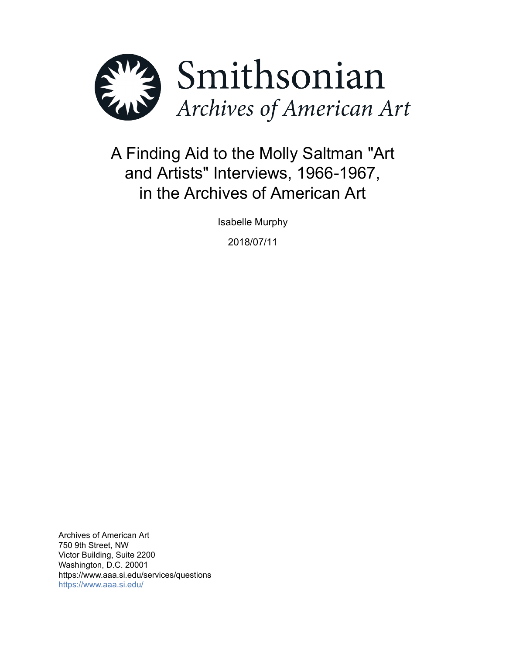

# A Finding Aid to the Molly Saltman "Art and Artists" Interviews, 1966-1967, in the Archives of American Art

Isabelle Murphy

2018/07/11

Archives of American Art 750 9th Street, NW Victor Building, Suite 2200 Washington, D.C. 20001 https://www.aaa.si.edu/services/questions <https://www.aaa.si.edu/>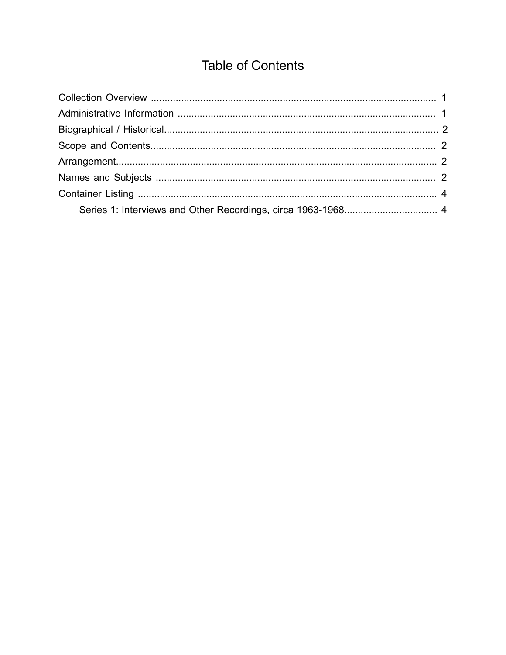## **Table of Contents**

<span id="page-1-0"></span>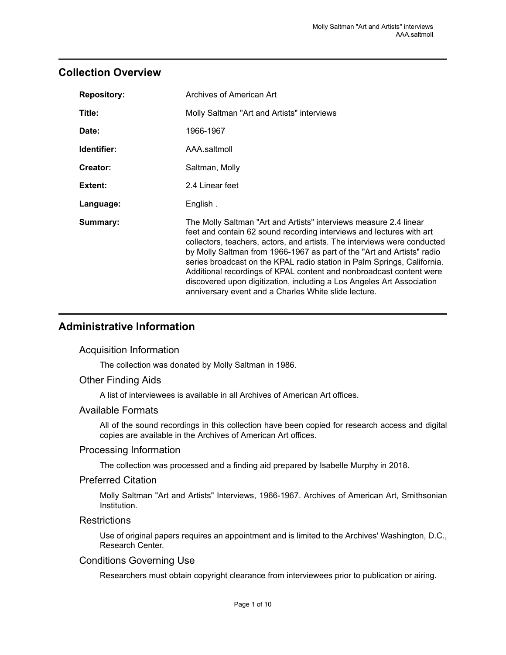## <span id="page-2-0"></span>**Collection Overview**

| <b>Repository:</b> | Archives of American Art                                                                                                                                                                                                                                                                                                                                                                                                                                                                                                                                                           |  |
|--------------------|------------------------------------------------------------------------------------------------------------------------------------------------------------------------------------------------------------------------------------------------------------------------------------------------------------------------------------------------------------------------------------------------------------------------------------------------------------------------------------------------------------------------------------------------------------------------------------|--|
| Title:             | Molly Saltman "Art and Artists" interviews                                                                                                                                                                                                                                                                                                                                                                                                                                                                                                                                         |  |
| Date:              | 1966-1967                                                                                                                                                                                                                                                                                                                                                                                                                                                                                                                                                                          |  |
| Identifier:        | AAA.saltmoll                                                                                                                                                                                                                                                                                                                                                                                                                                                                                                                                                                       |  |
| <b>Creator:</b>    | Saltman, Molly                                                                                                                                                                                                                                                                                                                                                                                                                                                                                                                                                                     |  |
| <b>Extent:</b>     | 2.4 Linear feet                                                                                                                                                                                                                                                                                                                                                                                                                                                                                                                                                                    |  |
| Language:          | English.                                                                                                                                                                                                                                                                                                                                                                                                                                                                                                                                                                           |  |
| Summary:           | The Molly Saltman "Art and Artists" interviews measure 2.4 linear<br>feet and contain 62 sound recording interviews and lectures with art<br>collectors, teachers, actors, and artists. The interviews were conducted<br>by Molly Saltman from 1966-1967 as part of the "Art and Artists" radio<br>series broadcast on the KPAL radio station in Palm Springs, California.<br>Additional recordings of KPAL content and nonbroadcast content were<br>discovered upon digitization, including a Los Angeles Art Association<br>anniversary event and a Charles White slide lecture. |  |

## <span id="page-2-1"></span>**Administrative Information**

#### Acquisition Information

The collection was donated by Molly Saltman in 1986.

#### Other Finding Aids

A list of interviewees is available in all Archives of American Art offices.

#### Available Formats

All of the sound recordings in this collection have been copied for research access and digital copies are available in the Archives of American Art offices.

#### Processing Information

The collection was processed and a finding aid prepared by Isabelle Murphy in 2018.

#### Preferred Citation

Molly Saltman "Art and Artists" Interviews, 1966-1967. Archives of American Art, Smithsonian Institution.

#### **Restrictions**

Use of original papers requires an appointment and is limited to the Archives' Washington, D.C., Research Center.

#### Conditions Governing Use

Researchers must obtain copyright clearance from interviewees prior to publication or airing.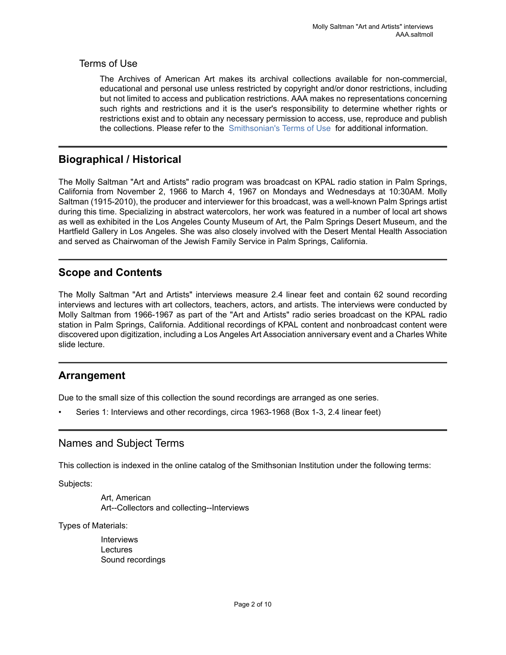### Terms of Use

The Archives of American Art makes its archival collections available for non-commercial, educational and personal use unless restricted by copyright and/or donor restrictions, including but not limited to access and publication restrictions. AAA makes no representations concerning such rights and restrictions and it is the user's responsibility to determine whether rights or restrictions exist and to obtain any necessary permission to access, use, reproduce and publish the collections. Please refer to the [Smithsonian's](https://www.si.edu/termsofuse) Terms of Use for additional information.

## <span id="page-3-0"></span>**Biographical / Historical**

The Molly Saltman "Art and Artists" radio program was broadcast on KPAL radio station in Palm Springs, California from November 2, 1966 to March 4, 1967 on Mondays and Wednesdays at 10:30AM. Molly Saltman (1915-2010), the producer and interviewer for this broadcast, was a well-known Palm Springs artist during this time. Specializing in abstract watercolors, her work was featured in a number of local art shows as well as exhibited in the Los Angeles County Museum of Art, the Palm Springs Desert Museum, and the Hartfield Gallery in Los Angeles. She was also closely involved with the Desert Mental Health Association and served as Chairwoman of the Jewish Family Service in Palm Springs, California.

## <span id="page-3-1"></span>**Scope and Contents**

The Molly Saltman "Art and Artists" interviews measure 2.4 linear feet and contain 62 sound recording interviews and lectures with art collectors, teachers, actors, and artists. The interviews were conducted by Molly Saltman from 1966-1967 as part of the "Art and Artists" radio series broadcast on the KPAL radio station in Palm Springs, California. Additional recordings of KPAL content and nonbroadcast content were discovered upon digitization, including a Los Angeles Art Association anniversary event and a Charles White slide lecture.

## <span id="page-3-2"></span>**Arrangement**

Due to the small size of this collection the sound recordings are arranged as one series.

• Series 1: Interviews and other recordings, circa 1963-1968 (Box 1-3, 2.4 linear feet)

## <span id="page-3-3"></span>Names and Subject Terms

This collection is indexed in the online catalog of the Smithsonian Institution under the following terms:

Subjects:

Art, American Art--Collectors and collecting--Interviews

Types of Materials:

Interviews **Lectures** Sound recordings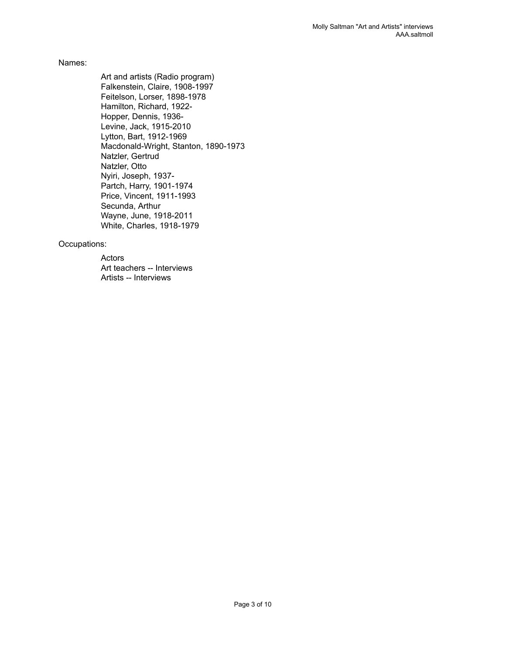#### Names:

Art and artists (Radio program) Falkenstein, Claire, 1908-1997 Feitelson, Lorser, 1898-1978 Hamilton, Richard, 1922- Hopper, Dennis, 1936- Levine, Jack, 1915-2010 Lytton, Bart, 1912-1969 Macdonald-Wright, Stanton, 1890-1973 Natzler, Gertrud Natzler, Otto Nyiri, Joseph, 1937- Partch, Harry, 1901-1974 Price, Vincent, 1911-1993 Secunda, Arthur Wayne, June, 1918-2011 White, Charles, 1918-1979

#### Occupations:

Actors Art teachers -- Interviews Artists -- Interviews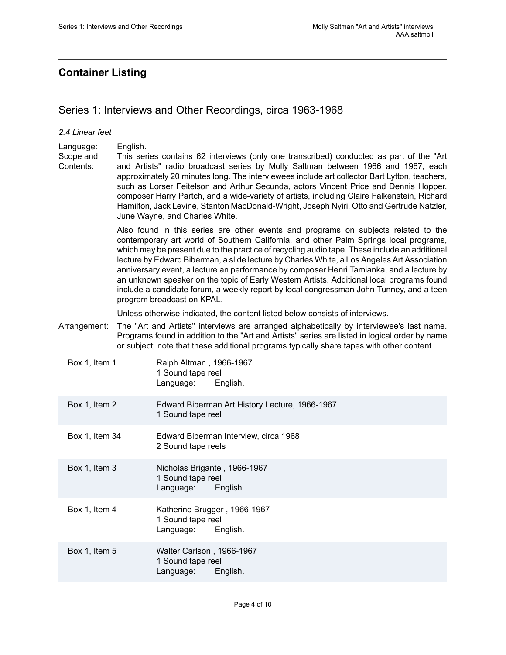## <span id="page-5-0"></span>**Container Listing**

*2.4 Linear feet*

## <span id="page-5-1"></span>Series 1: Interviews and Other Recordings, circa 1963-1968

#### Language: English. Scope and Contents: This series contains 62 interviews (only one transcribed) conducted as part of the "Art and Artists" radio broadcast series by Molly Saltman between 1966 and 1967, each approximately 20 minutes long. The interviewees include art collector Bart Lytton, teachers, such as Lorser Feitelson and Arthur Secunda, actors Vincent Price and Dennis Hopper, composer Harry Partch, and a wide-variety of artists, including Claire Falkenstein, Richard Hamilton, Jack Levine, Stanton MacDonald-Wright, Joseph Nyiri, Otto and Gertrude Natzler, June Wayne, and Charles White. Also found in this series are other events and programs on subjects related to the contemporary art world of Southern California, and other Palm Springs local programs, which may be present due to the practice of recycling audio tape. These include an additional lecture by Edward Biberman, a slide lecture by Charles White, a Los Angeles Art Association anniversary event, a lecture an performance by composer Henri Tamianka, and a lecture by an unknown speaker on the topic of Early Western Artists. Additional local programs found include a candidate forum, a weekly report by local congressman John Tunney, and a teen program broadcast on KPAL. Unless otherwise indicated, the content listed below consists of interviews. Arrangement: The "Art and Artists" interviews are arranged alphabetically by interviewee's last name. Programs found in addition to the "Art and Artists" series are listed in logical order by name or subject; note that these additional programs typically share tapes with other content. Box 1, Item 1 Ralph Altman, 1966-1967 1 Sound tape reel Language: English. Box 1, Item 2 Edward Biberman Art History Lecture, 1966-1967 1 Sound tape reel Box 1, Item 34 Edward Biberman Interview, circa 1968 2 Sound tape reels Box 1, Item 3 Nicholas Brigante , 1966-1967 1 Sound tape reel Language: English. Box 1, Item 4 Katherine Brugger, 1966-1967 1 Sound tape reel Language: English. Box 1, Item 5 Walter Carlson , 1966-1967 1 Sound tape reel Language: English.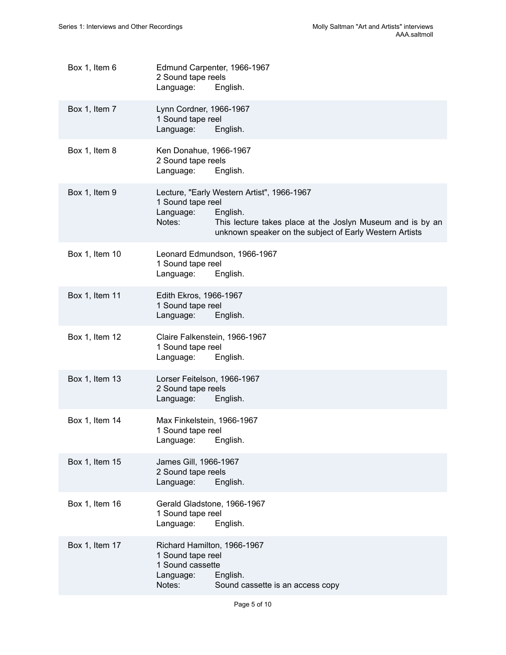| Box 1, Item 6  | Edmund Carpenter, 1966-1967<br>2 Sound tape reels<br>Language:<br>English.                              |                                                                                                                       |
|----------------|---------------------------------------------------------------------------------------------------------|-----------------------------------------------------------------------------------------------------------------------|
| Box 1, Item 7  | Lynn Cordner, 1966-1967<br>1 Sound tape reel<br>Language:<br>English.                                   |                                                                                                                       |
| Box 1, Item 8  | Ken Donahue, 1966-1967<br>2 Sound tape reels<br>Language:<br>English.                                   |                                                                                                                       |
| Box 1, Item 9  | Lecture, "Early Western Artist", 1966-1967<br>1 Sound tape reel<br>Language:<br>English.<br>Notes:      | This lecture takes place at the Joslyn Museum and is by an<br>unknown speaker on the subject of Early Western Artists |
| Box 1, Item 10 | Leonard Edmundson, 1966-1967<br>1 Sound tape reel<br>Language:<br>English.                              |                                                                                                                       |
| Box 1, Item 11 | Edith Ekros, 1966-1967<br>1 Sound tape reel<br>Language:<br>English.                                    |                                                                                                                       |
| Box 1, Item 12 | Claire Falkenstein, 1966-1967<br>1 Sound tape reel<br>Language:<br>English.                             |                                                                                                                       |
| Box 1, Item 13 | Lorser Feitelson, 1966-1967<br>2 Sound tape reels<br>Language:<br>English.                              |                                                                                                                       |
| Box 1, Item 14 | Max Finkelstein, 1966-1967<br>1 Sound tape reel<br>English.<br>Language:                                |                                                                                                                       |
| Box 1, Item 15 | James Gill, 1966-1967<br>2 Sound tape reels<br>Language:<br>English.                                    |                                                                                                                       |
| Box 1, Item 16 | Gerald Gladstone, 1966-1967<br>1 Sound tape reel<br>Language:<br>English.                               |                                                                                                                       |
| Box 1, Item 17 | Richard Hamilton, 1966-1967<br>1 Sound tape reel<br>1 Sound cassette<br>Language:<br>English.<br>Notes: | Sound cassette is an access copy                                                                                      |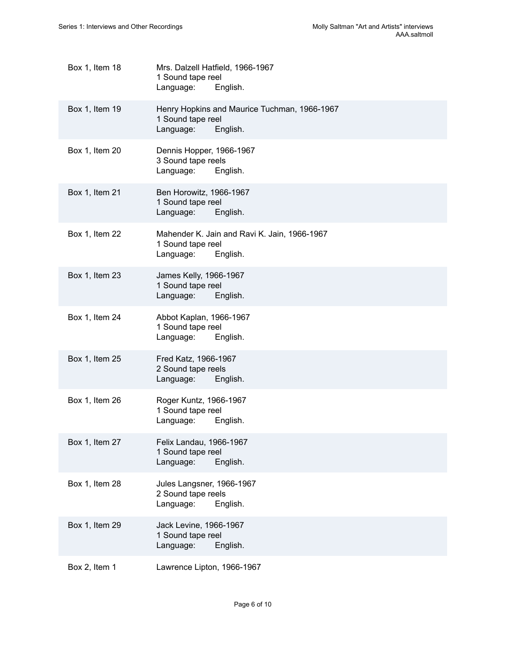| Box 1, Item 18 | Mrs. Dalzell Hatfield, 1966-1967<br>1 Sound tape reel<br>Language:<br>English.             |
|----------------|--------------------------------------------------------------------------------------------|
| Box 1, Item 19 | Henry Hopkins and Maurice Tuchman, 1966-1967<br>1 Sound tape reel<br>English.<br>Language: |
| Box 1, Item 20 | Dennis Hopper, 1966-1967<br>3 Sound tape reels<br>Language:<br>English.                    |
| Box 1, Item 21 | Ben Horowitz, 1966-1967<br>1 Sound tape reel<br>Language:<br>English.                      |
| Box 1, Item 22 | Mahender K. Jain and Ravi K. Jain, 1966-1967<br>1 Sound tape reel<br>Language:<br>English. |
| Box 1, Item 23 | James Kelly, 1966-1967<br>1 Sound tape reel<br>Language:<br>English.                       |
| Box 1, Item 24 | Abbot Kaplan, 1966-1967<br>1 Sound tape reel<br>Language:<br>English.                      |
| Box 1, Item 25 | Fred Katz, 1966-1967<br>2 Sound tape reels<br>Language:<br>English.                        |
| Box 1, Item 26 | Roger Kuntz, 1966-1967<br>1 Sound tape reel<br>Language:<br>English.                       |
| Box 1, Item 27 | Felix Landau, 1966-1967<br>1 Sound tape reel<br>Language:<br>English.                      |
| Box 1, Item 28 | Jules Langsner, 1966-1967<br>2 Sound tape reels<br>Language:<br>English.                   |
| Box 1, Item 29 | Jack Levine, 1966-1967<br>1 Sound tape reel<br>Language:<br>English.                       |
| Box 2, Item 1  | Lawrence Lipton, 1966-1967                                                                 |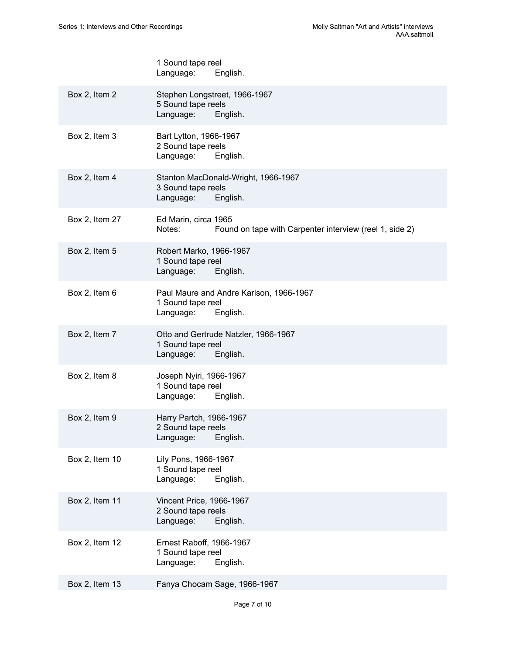|                | 1 Sound tape reel<br>Language:<br>English.                                                |
|----------------|-------------------------------------------------------------------------------------------|
| Box 2, Item 2  | Stephen Longstreet, 1966-1967<br>5 Sound tape reels<br>Language:<br>English.              |
| Box 2, Item 3  | Bart Lytton, 1966-1967<br>2 Sound tape reels<br>Language:<br>English.                     |
| Box 2, Item 4  | Stanton MacDonald-Wright, 1966-1967<br>3 Sound tape reels<br>Language:<br>English.        |
| Box 2, Item 27 | Ed Marin, circa 1965<br>Found on tape with Carpenter interview (reel 1, side 2)<br>Notes: |
| Box 2, Item 5  | Robert Marko, 1966-1967<br>1 Sound tape reel<br>Language:<br>English.                     |
| Box 2, Item 6  | Paul Maure and Andre Karlson, 1966-1967<br>1 Sound tape reel<br>Language:<br>English.     |
| Box 2, Item 7  | Otto and Gertrude Natzler, 1966-1967<br>1 Sound tape reel<br>Language:<br>English.        |
| Box 2, Item 8  | Joseph Nyiri, 1966-1967<br>1 Sound tape reel<br>Language:<br>English.                     |
| Box 2, Item 9  | Harry Partch, 1966-1967<br>2 Sound tape reels<br>English.<br>Language:                    |
| Box 2, Item 10 | Lily Pons, 1966-1967<br>1 Sound tape reel<br>Language:<br>English.                        |
| Box 2, Item 11 | Vincent Price, 1966-1967<br>2 Sound tape reels<br>Language:<br>English.                   |
| Box 2, Item 12 | Ernest Raboff, 1966-1967<br>1 Sound tape reel<br>Language:<br>English.                    |
| Box 2, Item 13 | Fanya Chocam Sage, 1966-1967                                                              |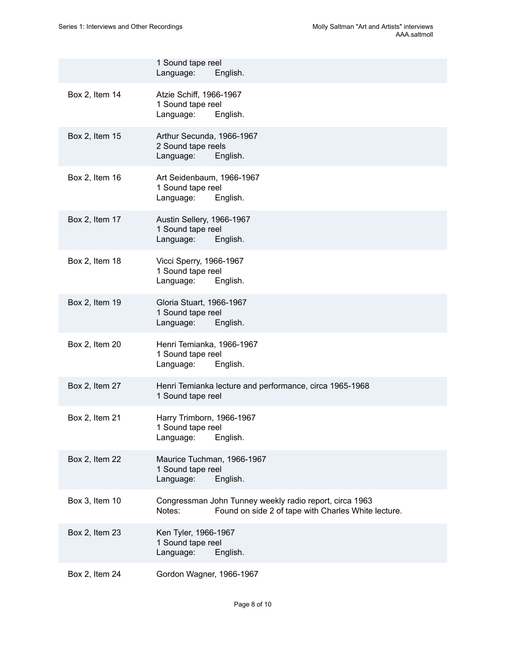|                | 1 Sound tape reel<br>Language:<br>English.                                                                               |
|----------------|--------------------------------------------------------------------------------------------------------------------------|
| Box 2, Item 14 | Atzie Schiff, 1966-1967<br>1 Sound tape reel<br>Language:<br>English.                                                    |
| Box 2, Item 15 | Arthur Secunda, 1966-1967<br>2 Sound tape reels<br>Language:<br>English.                                                 |
| Box 2, Item 16 | Art Seidenbaum, 1966-1967<br>1 Sound tape reel<br>Language:<br>English.                                                  |
| Box 2, Item 17 | Austin Sellery, 1966-1967<br>1 Sound tape reel<br>Language:<br>English.                                                  |
| Box 2, Item 18 | Vicci Sperry, 1966-1967<br>1 Sound tape reel<br>Language:<br>English.                                                    |
| Box 2, Item 19 | Gloria Stuart, 1966-1967<br>1 Sound tape reel<br>Language:<br>English.                                                   |
| Box 2, Item 20 | Henri Temianka, 1966-1967<br>1 Sound tape reel<br>Language:<br>English.                                                  |
| Box 2, Item 27 | Henri Temianka lecture and performance, circa 1965-1968<br>1 Sound tape reel                                             |
| Box 2, Item 21 | Harry Trimborn, 1966-1967<br>1 Sound tape reel<br>English.<br>Language:                                                  |
| Box 2, Item 22 | Maurice Tuchman, 1966-1967<br>1 Sound tape reel<br>Language:<br>English.                                                 |
| Box 3, Item 10 | Congressman John Tunney weekly radio report, circa 1963<br>Found on side 2 of tape with Charles White lecture.<br>Notes: |
| Box 2, Item 23 | Ken Tyler, 1966-1967<br>1 Sound tape reel<br>Language:<br>English.                                                       |
| Box 2, Item 24 | Gordon Wagner, 1966-1967                                                                                                 |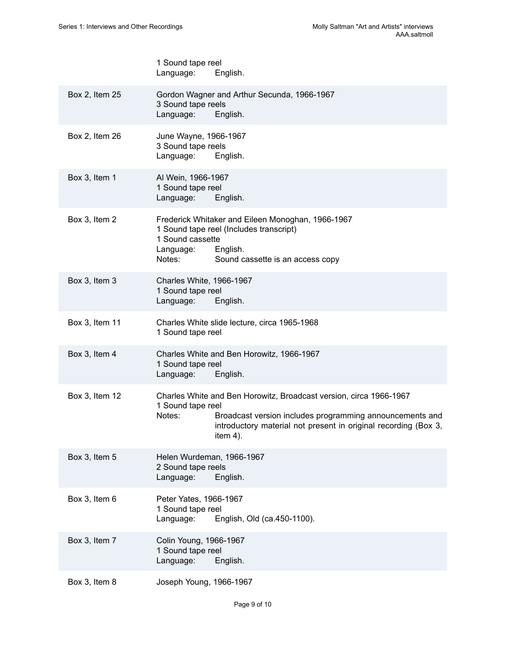|                | 1 Sound tape reel<br>Language:<br>English.                                                                                                                                                                                                      |
|----------------|-------------------------------------------------------------------------------------------------------------------------------------------------------------------------------------------------------------------------------------------------|
| Box 2, Item 25 | Gordon Wagner and Arthur Secunda, 1966-1967<br>3 Sound tape reels<br>Language:<br>English.                                                                                                                                                      |
| Box 2, Item 26 | June Wayne, 1966-1967<br>3 Sound tape reels<br>Language:<br>English.                                                                                                                                                                            |
| Box 3, Item 1  | Al Wein, 1966-1967<br>1 Sound tape reel<br>Language:<br>English.                                                                                                                                                                                |
| Box 3, Item 2  | Frederick Whitaker and Eileen Monoghan, 1966-1967<br>1 Sound tape reel (Includes transcript)<br>1 Sound cassette<br>English.<br>Language:<br>Notes:<br>Sound cassette is an access copy                                                         |
| Box 3, Item 3  | Charles White, 1966-1967<br>1 Sound tape reel<br>Language:<br>English.                                                                                                                                                                          |
| Box 3, Item 11 | Charles White slide lecture, circa 1965-1968<br>1 Sound tape reel                                                                                                                                                                               |
| Box 3, Item 4  | Charles White and Ben Horowitz, 1966-1967<br>1 Sound tape reel<br>Language:<br>English.                                                                                                                                                         |
| Box 3, Item 12 | Charles White and Ben Horowitz, Broadcast version, circa 1966-1967<br>1 Sound tape reel<br>Notes:<br>Broadcast version includes programming announcements and<br>introductory material not present in original recording (Box 3,<br>item $4$ ). |
| Box 3, Item 5  | Helen Wurdeman, 1966-1967<br>2 Sound tape reels<br>Language:<br>English.                                                                                                                                                                        |
| Box 3, Item 6  | Peter Yates, 1966-1967<br>1 Sound tape reel<br>English, Old (ca.450-1100).<br>Language:                                                                                                                                                         |
| Box 3, Item 7  | Colin Young, 1966-1967<br>1 Sound tape reel<br>English.<br>Language:                                                                                                                                                                            |
| Box 3, Item 8  | Joseph Young, 1966-1967                                                                                                                                                                                                                         |